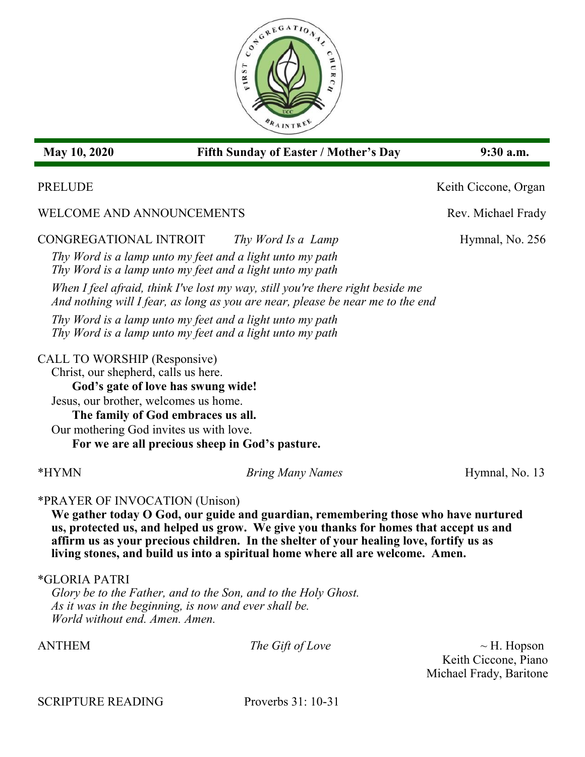SCRIPTURE READING Proverbs 31: 10-31

 **May 10, 2020 Fifth Sunday of Easter / Mother's Day 9:30 a.m.**

### PRELUDE Keith Ciccone, Organ

WELCOME AND ANNOUNCEMENTS Rev. Michael Frady

CONGREGATIONAL INTROIT *Thy Word Is a Lamp* Hymnal, No. 256

*Thy Word is a lamp unto my feet and a light unto my path Thy Word is a lamp unto my feet and a light unto my path*

*When I feel afraid, think I've lost my way, still you're there right beside me And nothing will I fear, as long as you are near, please be near me to the end*

*Thy Word is a lamp unto my feet and a light unto my path Thy Word is a lamp unto my feet and a light unto my path*

## CALL TO WORSHIP (Responsive)

Christ, our shepherd, calls us here.

**God's gate of love has swung wide!**

Jesus, our brother, welcomes us home.

**The family of God embraces us all.**

Our mothering God invites us with love.

**For we are all precious sheep in God's pasture.**

\*PRAYER OF INVOCATION (Unison)

**We gather today O God, our guide and guardian, remembering those who have nurtured us, protected us, and helped us grow. We give you thanks for homes that accept us and affirm us as your precious children. In the shelter of your healing love, fortify us as living stones, and build us into a spiritual home where all are welcome. Amen.**

## \*GLORIA PATRI

*Glory be to the Father, and to the Son, and to the Holy Ghost. As it was in the beginning, is now and ever shall be. World without end. Amen. Amen.*

\*HYMN *Bring Many Names* Hymnal, No. 13

ANTHEM  $\sim$  H. Hopson Keith Ciccone, Piano Michael Frady, Baritone

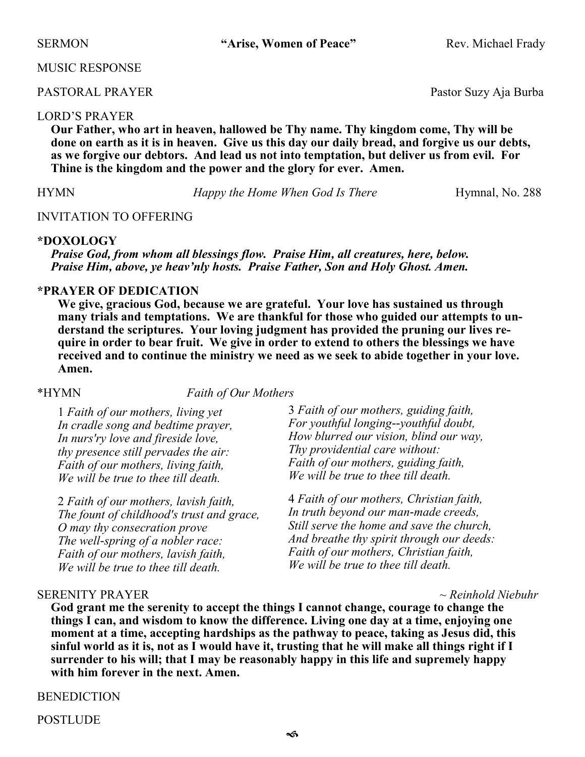SERMON **"Arise, Women of Peace"** Rev. Michael Frady

MUSIC RESPONSE

PASTORAL PRAYER Pastor Suzy Aja Burba

### LORD'S PRAYER

**Our Father, who art in heaven, hallowed be Thy name. Thy kingdom come, Thy will be done on earth as it is in heaven. Give us this day our daily bread, and forgive us our debts, as we forgive our debtors. And lead us not into temptation, but deliver us from evil. For Thine is the kingdom and the power and the glory for ever. Amen.**

HYMN *Happy the Home When God Is There* Hymnal, No. 288

INVITATION TO OFFERING

### **\*DOXOLOGY**

*Praise God, from whom all blessings flow. Praise Him, all creatures, here, below. Praise Him, above, ye heav'nly hosts. Praise Father, Son and Holy Ghost. Amen.*

### **\*PRAYER OF DEDICATION**

**We give, gracious God, because we are grateful. Your love has sustained us through many trials and temptations. We are thankful for those who guided our attempts to understand the scriptures. Your loving judgment has provided the pruning our lives require in order to bear fruit. We give in order to extend to others the blessings we have received and to continue the ministry we need as we seek to abide together in your love. Amen.**

\*HYMN *Faith of Our Mothers*

1 *Faith of our mothers, living yet In cradle song and bedtime prayer, In nurs'ry love and fireside love, thy presence still pervades the air: Faith of our mothers, living faith, We will be true to thee till death.*

2 *Faith of our mothers, lavish faith, The fount of childhood's trust and grace, O may thy consecration prove The well-spring of a nobler race: Faith of our mothers, lavish faith, We will be true to thee till death.*

3 *Faith of our mothers, guiding faith, For youthful longing--youthful doubt, How blurred our vision, blind our way, Thy providential care without: Faith of our mothers, guiding faith, We will be true to thee till death.*

4 *Faith of our mothers, Christian faith, In truth beyond our man-made creeds, Still serve the home and save the church, And breathe thy spirit through our deeds: Faith of our mothers, Christian faith, We will be true to thee till death.* 

### SERENITY PRAYER *~ Reinhold Niebuhr*

**God grant me the serenity to accept the things I cannot change, courage to change the things I can, and wisdom to know the difference. Living one day at a time, enjoying one moment at a time, accepting hardships as the pathway to peace, taking as Jesus did, this sinful world as it is, not as I would have it, trusting that he will make all things right if I surrender to his will; that I may be reasonably happy in this life and supremely happy with him forever in the next. Amen.** 

**BENEDICTION** 

POSTLUDE